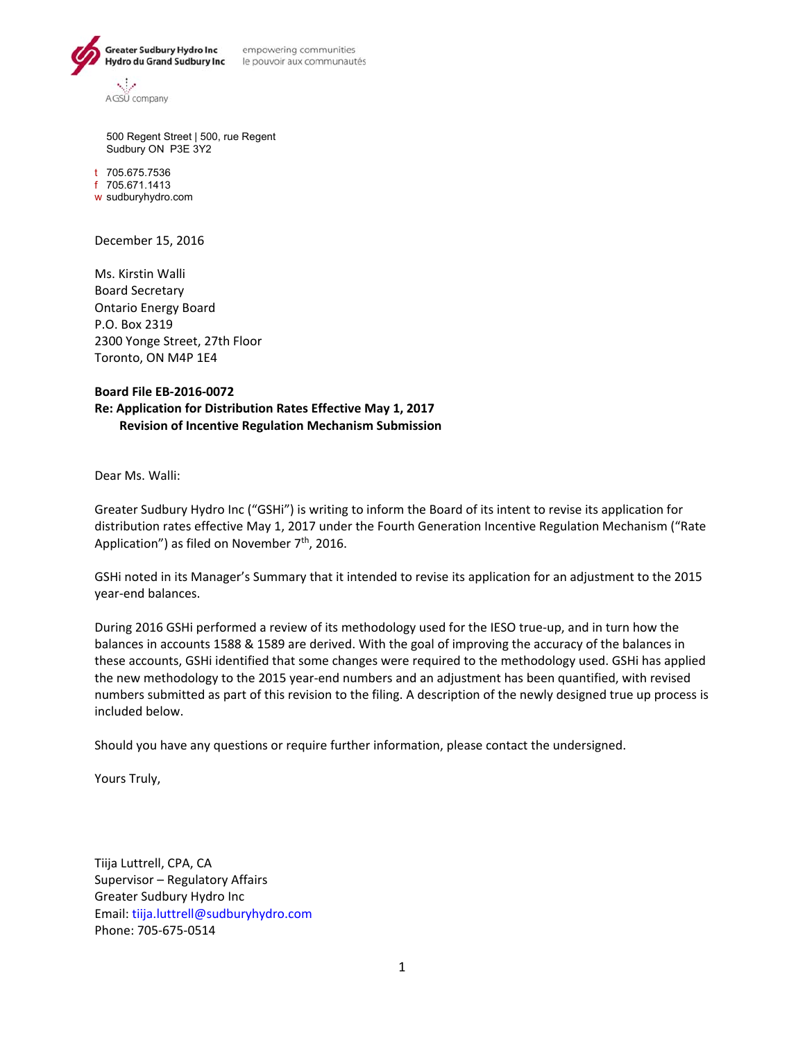

empowering communities

500 Regent Street | 500, rue Regent Sudbury ON P3E 3Y2

t 705.675.7536 f 705.671.1413 w sudburyhydro.com

December 15, 2016

Ms. Kirstin Walli Board Secretary Ontario Energy Board P.O. Box 2319 2300 Yonge Street, 27th Floor Toronto, ON M4P 1E4

#### **Board File EB‐2016‐0072 Re: Application for Distribution Rates Effective May 1, 2017 Revision of Incentive Regulation Mechanism Submission**

Dear Ms. Walli:

Greater Sudbury Hydro Inc ("GSHi") is writing to inform the Board of its intent to revise its application for distribution rates effective May 1, 2017 under the Fourth Generation Incentive Regulation Mechanism ("Rate Application") as filed on November  $7<sup>th</sup>$ , 2016.

GSHi noted in its Manager's Summary that it intended to revise its application for an adjustment to the 2015 year‐end balances.

During 2016 GSHi performed a review of its methodology used for the IESO true‐up, and in turn how the balances in accounts 1588 & 1589 are derived. With the goal of improving the accuracy of the balances in these accounts, GSHi identified that some changes were required to the methodology used. GSHi has applied the new methodology to the 2015 year-end numbers and an adjustment has been quantified, with revised numbers submitted as part of this revision to the filing. A description of the newly designed true up process is included below.

Should you have any questions or require further information, please contact the undersigned.

Yours Truly,

Tiija Luttrell, CPA, CA Supervisor – Regulatory Affairs Greater Sudbury Hydro Inc Email: tiija.luttrell@sudburyhydro.com Phone: 705‐675‐0514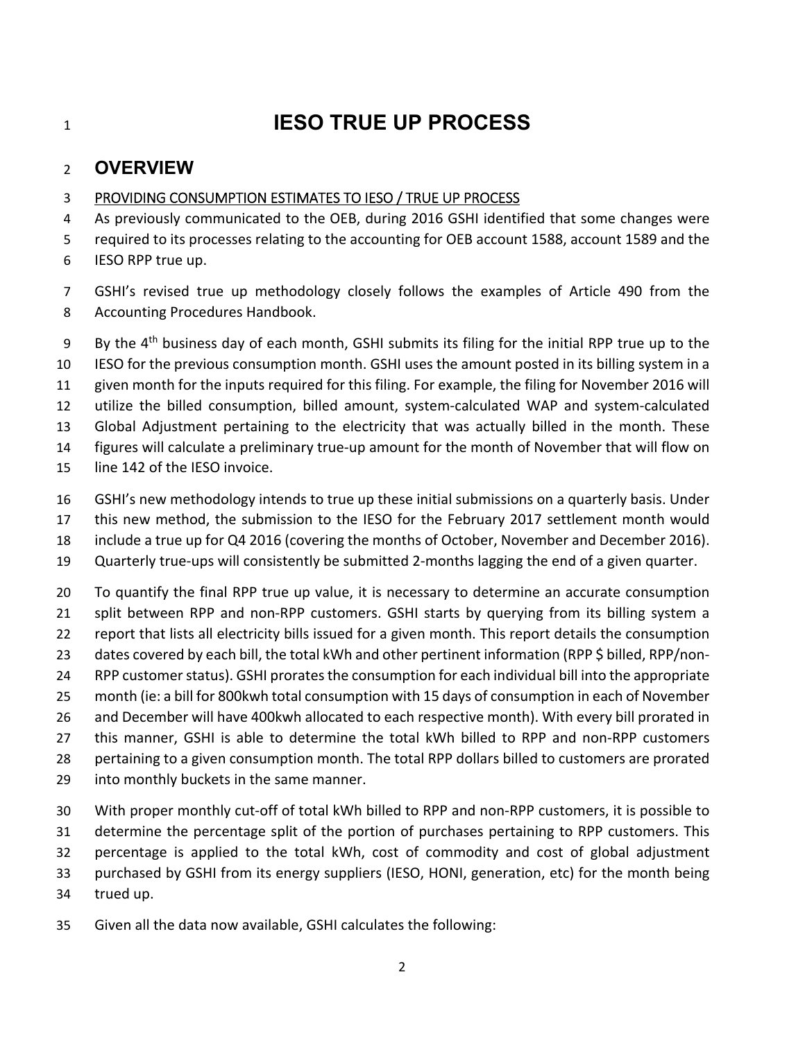# **IESO TRUE UP PROCESS**

### **OVERVIEW**

#### PROVIDING CONSUMPTION ESTIMATES TO IESO / TRUE UP PROCESS

 As previously communicated to the OEB, during 2016 GSHI identified that some changes were required to its processes relating to the accounting for OEB account 1588, account 1589 and the IESO RPP true up.

 GSHI's revised true up methodology closely follows the examples of Article 490 from the Accounting Procedures Handbook.

By the  $4<sup>th</sup>$  business day of each month, GSHI submits its filing for the initial RPP true up to the IESO for the previous consumption month. GSHI uses the amount posted in its billing system in a given month for the inputs required for this filing. For example, the filing for November 2016 will utilize the billed consumption, billed amount, system‐calculated WAP and system‐calculated Global Adjustment pertaining to the electricity that was actually billed in the month. These 14 figures will calculate a preliminary true-up amount for the month of November that will flow on line 142 of the IESO invoice.

- GSHI's new methodology intends to true up these initial submissions on a quarterly basis. Under
- 17 this new method, the submission to the IESO for the February 2017 settlement month would
- include a true up for Q4 2016 (covering the months of October, November and December 2016).
- Quarterly true‐ups will consistently be submitted 2‐months lagging the end of a given quarter.

 To quantify the final RPP true up value, it is necessary to determine an accurate consumption 21 split between RPP and non-RPP customers. GSHI starts by querying from its billing system a 22 report that lists all electricity bills issued for a given month. This report details the consumption 23 dates covered by each bill, the total kWh and other pertinent information (RPP \$ billed, RPP/non- RPP customer status). GSHI prorates the consumption for each individual bill into the appropriate month (ie: a bill for 800kwh total consumption with 15 days of consumption in each of November and December will have 400kwh allocated to each respective month). With every bill prorated in 27 this manner, GSHI is able to determine the total kWh billed to RPP and non-RPP customers pertaining to a given consumption month. The total RPP dollars billed to customers are prorated into monthly buckets in the same manner.

- With proper monthly cut‐off of total kWh billed to RPP and non‐RPP customers, it is possible to determine the percentage split of the portion of purchases pertaining to RPP customers. This percentage is applied to the total kWh, cost of commodity and cost of global adjustment purchased by GSHI from its energy suppliers (IESO, HONI, generation, etc) for the month being trued up.
- Given all the data now available, GSHI calculates the following: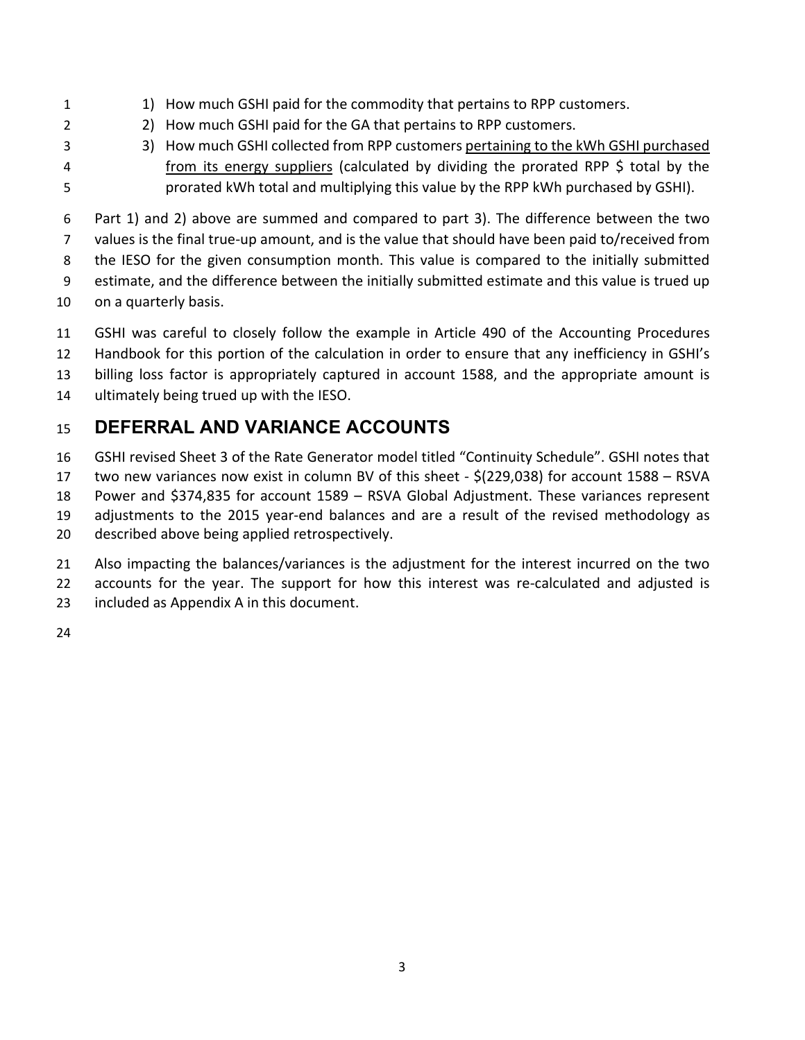- 1) How much GSHI paid for the commodity that pertains to RPP customers.
- 2) How much GSHI paid for the GA that pertains to RPP customers.
- 
- 3) How much GSHI collected from RPP customers pertaining to the kWh GSHI purchased **from its energy suppliers (calculated by dividing the prorated RPP \$ total by the** prorated kWh total and multiplying this value by the RPP kWh purchased by GSHI).

 Part 1) and 2) above are summed and compared to part 3). The difference between the two values is the final true‐up amount, and is the value that should have been paid to/received from 8 the IESO for the given consumption month. This value is compared to the initially submitted estimate, and the difference between the initially submitted estimate and this value is trued up

- on a quarterly basis.
- GSHI was careful to closely follow the example in Article 490 of the Accounting Procedures
- Handbook for this portion of the calculation in order to ensure that any inefficiency in GSHI's
- billing loss factor is appropriately captured in account 1588, and the appropriate amount is
- ultimately being trued up with the IESO.

## **DEFERRAL AND VARIANCE ACCOUNTS**

 GSHI revised Sheet 3 of the Rate Generator model titled "Continuity Schedule". GSHI notes that two new variances now exist in column BV of this sheet ‐ \$(229,038) for account 1588 – RSVA Power and \$374,835 for account 1589 – RSVA Global Adjustment. These variances represent 19 adjustments to the 2015 year-end balances and are a result of the revised methodology as

- described above being applied retrospectively.
- Also impacting the balances/variances is the adjustment for the interest incurred on the two
- 22 accounts for the year. The support for how this interest was re-calculated and adjusted is
- included as Appendix A in this document.
-